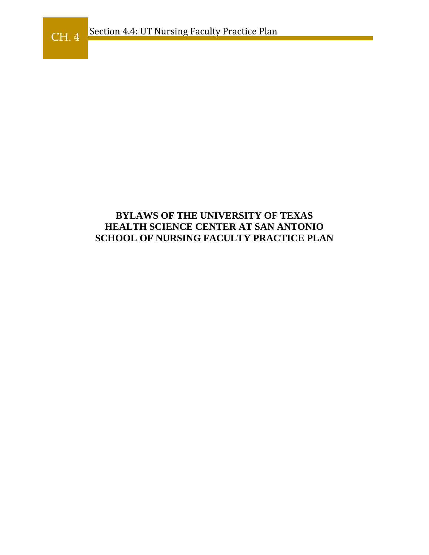## **BYLAWS OF THE UNIVERSITY OF TEXAS HEALTH SCIENCE CENTER AT SAN ANTONIO SCHOOL OF NURSING FACULTY PRACTICE PLAN**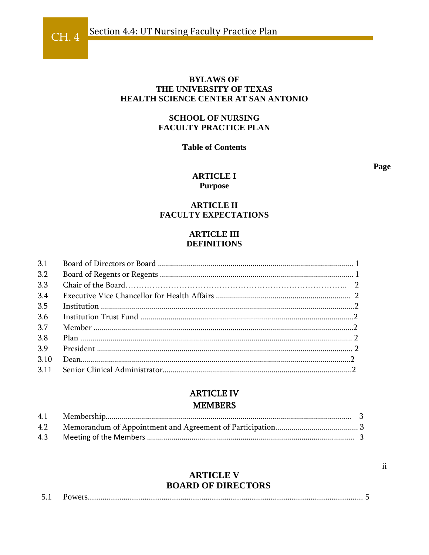#### **BYLAWS OF** THE UNIVERSITY OF TEXAS **HEALTH SCIENCE CENTER AT SAN ANTONIO**

#### **SCHOOL OF NURSING FACULTY PRACTICE PLAN**

#### **Table of Contents**

Page

#### **ARTICLE I Purpose**

#### **ARTICLE II FACULTY EXPECTATIONS**

#### **ARTICLE III DEFINITIONS**

| 3.1  |  |
|------|--|
| 3.2  |  |
| 3.3  |  |
| 3.4  |  |
| 3.5  |  |
| 3.6  |  |
| 3.7  |  |
| 3.8  |  |
| 3.9  |  |
| 3.10 |  |
| 3.11 |  |

## **ARTICLE IV MEMBERS**

## **ARTICLE V BOARD OF DIRECTORS**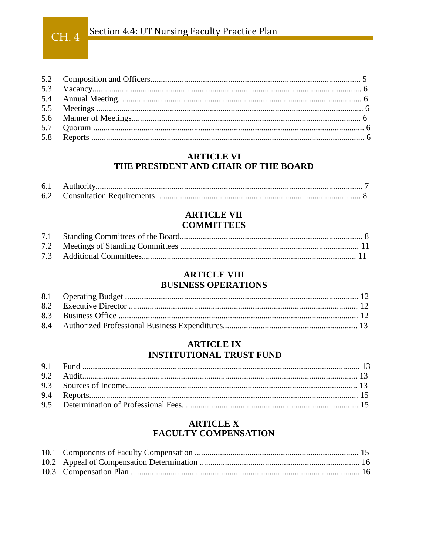# CH. 4 Section 4.4: UT Nursing Faculty Practice Plan

## **ARTICLE VI** THE PRESIDENT AND CHAIR OF THE BOARD

| 6.1 |  |
|-----|--|
| 6.2 |  |

## **ARTICLE VII COMMITTEES**

## **ARTICLE VIII BUSINESS OPERATIONS**

## **ARTICLE IX INSTITUTIONAL TRUST FUND**

## **ARTICLE X FACULTY COMPENSATION**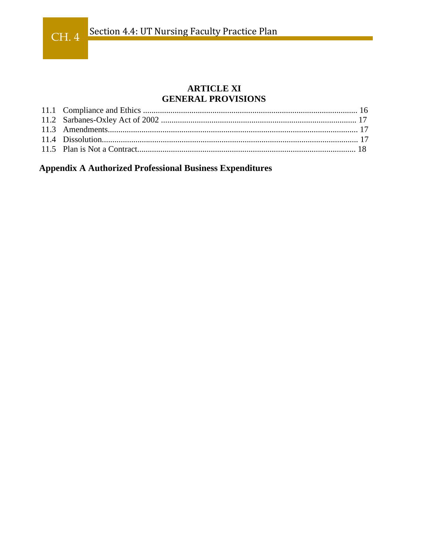## **ARTICLE XI GENERAL PROVISIONS**

**Appendix A Authorized Professional Business Expenditures**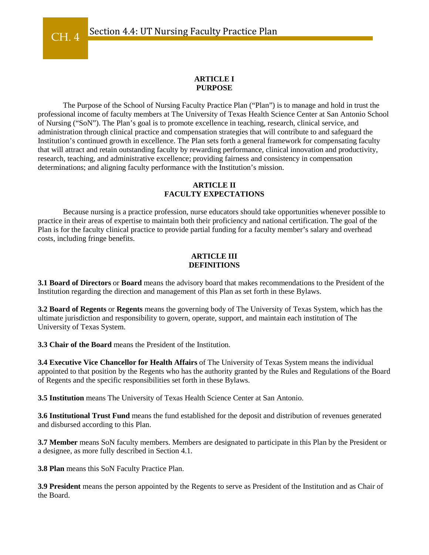#### **ARTICLE I PURPOSE**

The Purpose of the School of Nursing Faculty Practice Plan ("Plan") is to manage and hold in trust the professional income of faculty members at The University of Texas Health Science Center at San Antonio School of Nursing ("SoN"). The Plan's goal is to promote excellence in teaching, research, clinical service, and administration through clinical practice and compensation strategies that will contribute to and safeguard the Institution's continued growth in excellence. The Plan sets forth a general framework for compensating faculty that will attract and retain outstanding faculty by rewarding performance, clinical innovation and productivity, research, teaching, and administrative excellence; providing fairness and consistency in compensation determinations; and aligning faculty performance with the Institution's mission.

#### **ARTICLE II FACULTY EXPECTATIONS**

Because nursing is a practice profession, nurse educators should take opportunities whenever possible to practice in their areas of expertise to maintain both their proficiency and national certification. The goal of the Plan is for the faculty clinical practice to provide partial funding for a faculty member's salary and overhead costs, including fringe benefits.

#### **ARTICLE III DEFINITIONS**

**3.1 Board of Directors** or **Board** means the advisory board that makes recommendations to the President of the Institution regarding the direction and management of this Plan as set forth in these Bylaws.

**3.2 Board of Regents** or **Regents** means the governing body of The University of Texas System, which has the ultimate jurisdiction and responsibility to govern, operate, support, and maintain each institution of The University of Texas System.

**3.3 Chair of the Board** means the President of the Institution.

**3.4 Executive Vice Chancellor for Health Affairs** of The University of Texas System means the individual appointed to that position by the Regents who has the authority granted by the Rules and Regulations of the Board of Regents and the specific responsibilities set forth in these Bylaws.

**3.5 Institution** means The University of Texas Health Science Center at San Antonio.

**3.6 Institutional Trust Fund** means the fund established for the deposit and distribution of revenues generated and disbursed according to this Plan.

**3.7 Member** means SoN faculty members. Members are designated to participate in this Plan by the President or a designee, as more fully described in Section 4.1.

**3.8 Plan** means this SoN Faculty Practice Plan.

**3.9 President** means the person appointed by the Regents to serve as President of the Institution and as Chair of the Board.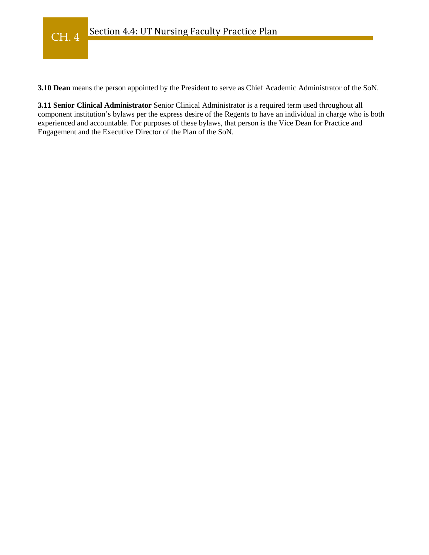**3.10 Dean** means the person appointed by the President to serve as Chief Academic Administrator of the SoN.

**3.11 Senior Clinical Administrator** Senior Clinical Administrator is a required term used throughout all component institution's bylaws per the express desire of the Regents to have an individual in charge who is both experienced and accountable. For purposes of these bylaws, that person is the Vice Dean for Practice and Engagement and the Executive Director of the Plan of the SoN.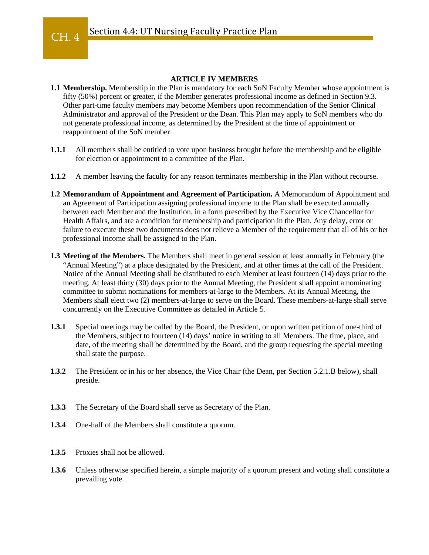#### **ARTICLE IV MEMBERS**

- **1.1 Membership.** Membership in the Plan is mandatory for each SoN Faculty Member whose appointment is fifty (50%) percent or greater, if the Member generates professional income as defined in Section 9.3. Other part-time faculty members may become Members upon recommendation of the Senior Clinical Administrator and approval of the President or the Dean. This Plan may apply to SoN members who do not generate professional income, as determined by the President at the time of appointment or reappointment of the SoN member.
- **1.1.1** All members shall be entitled to vote upon business brought before the membership and be eligible for election or appointment to a committee of the Plan.
- **1.1.2** A member leaving the faculty for any reason terminates membership in the Plan without recourse.
- **1.2 Memorandum of Appointment and Agreement of Participation.** A Memorandum of Appointment and an Agreement of Participation assigning professional income to the Plan shall be executed annually between each Member and the Institution, in a form prescribed by the Executive Vice Chancellor for Health Affairs, and are a condition for membership and participation in the Plan. Any delay, error or failure to execute these two documents does not relieve a Member of the requirement that all of his or her professional income shall be assigned to the Plan.
- **1.3 Meeting of the Members.** The Members shall meet in general session at least annually in February (the "Annual Meeting") at a place designated by the President, and at other times at the call of the President. Notice of the Annual Meeting shall be distributed to each Member at least fourteen (14) days prior to the meeting. At least thirty (30) days prior to the Annual Meeting, the President shall appoint a nominating committee to submit nominations for members-at-large to the Members. At its Annual Meeting, the Members shall elect two (2) members-at-large to serve on the Board. These members-at-large shall serve concurrently on the Executive Committee as detailed in Article 5.
- **1.3.1** Special meetings may be called by the Board, the President, or upon written petition of one-third of the Members, subject to fourteen (14) days' notice in writing to all Members. The time, place, and date, of the meeting shall be determined by the Board, and the group requesting the special meeting shall state the purpose.
- **1.3.2** The President or in his or her absence, the Vice Chair (the Dean, per Section 5.2.1.B below), shall preside.
- **1.3.3** The Secretary of the Board shall serve as Secretary of the Plan.
- **1.3.4** One-half of the Members shall constitute a quorum.
- **1.3.5** Proxies shall not be allowed.
- **1.3.6** Unless otherwise specified herein, a simple majority of a quorum present and voting shall constitute a prevailing vote.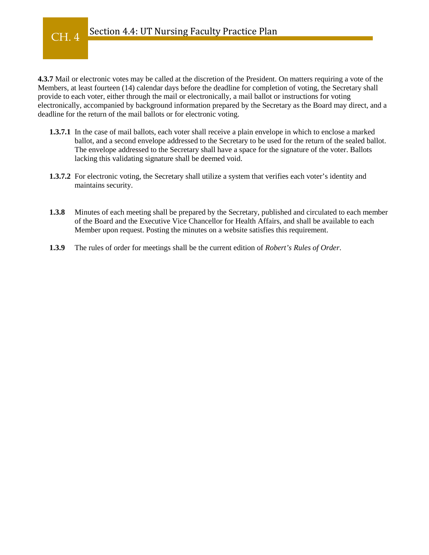#### Section 4.4: UT Nursing Faculty Practice Plan CH. 4

**4.3.7** Mail or electronic votes may be called at the discretion of the President. On matters requiring a vote of the Members, at least fourteen (14) calendar days before the deadline for completion of voting, the Secretary shall provide to each voter, either through the mail or electronically, a mail ballot or instructions for voting electronically, accompanied by background information prepared by the Secretary as the Board may direct, and a deadline for the return of the mail ballots or for electronic voting.

- **1.3.7.1** In the case of mail ballots, each voter shall receive a plain envelope in which to enclose a marked ballot, and a second envelope addressed to the Secretary to be used for the return of the sealed ballot. The envelope addressed to the Secretary shall have a space for the signature of the voter. Ballots lacking this validating signature shall be deemed void.
- **1.3.7.2** For electronic voting, the Secretary shall utilize a system that verifies each voter's identity and maintains security.
- **1.3.8** Minutes of each meeting shall be prepared by the Secretary, published and circulated to each member of the Board and the Executive Vice Chancellor for Health Affairs, and shall be available to each Member upon request. Posting the minutes on a website satisfies this requirement.
- **1.3.9** The rules of order for meetings shall be the current edition of *Robert's Rules of Order*.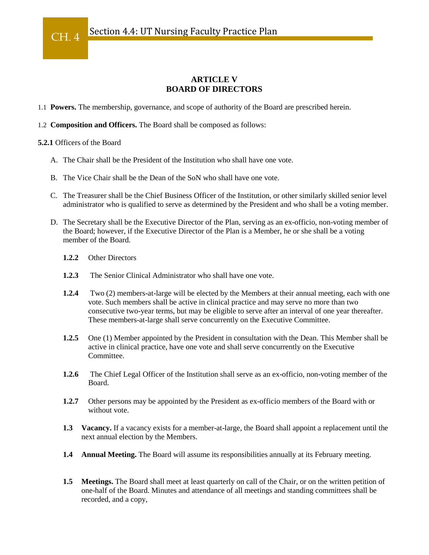### **ARTICLE V BOARD OF DIRECTORS**

- 1.1 **Powers.** The membership, governance, and scope of authority of the Board are prescribed herein.
- 1.2 **Composition and Officers.** The Board shall be composed as follows:

#### **5.2.1** Officers of the Board

- A. The Chair shall be the President of the Institution who shall have one vote.
- B. The Vice Chair shall be the Dean of the SoN who shall have one vote.
- C. The Treasurer shall be the Chief Business Officer of the Institution, or other similarly skilled senior level administrator who is qualified to serve as determined by the President and who shall be a voting member.
- D. The Secretary shall be the Executive Director of the Plan, serving as an ex-officio, non-voting member of the Board; however, if the Executive Director of the Plan is a Member, he or she shall be a voting member of the Board.
	- **1.2.2** Other Directors
	- **1.2.3** The Senior Clinical Administrator who shall have one vote.
	- **1.2.4** Two (2) members-at-large will be elected by the Members at their annual meeting, each with one vote. Such members shall be active in clinical practice and may serve no more than two consecutive two-year terms, but may be eligible to serve after an interval of one year thereafter. These members-at-large shall serve concurrently on the Executive Committee.
	- **1.2.5** One (1) Member appointed by the President in consultation with the Dean. This Member shall be active in clinical practice, have one vote and shall serve concurrently on the Executive Committee.
	- **1.2.6** The Chief Legal Officer of the Institution shall serve as an ex-officio, non-voting member of the Board.
	- **1.2.7** Other persons may be appointed by the President as ex-officio members of the Board with or without vote
	- **1.3 Vacancy.** If a vacancy exists for a member-at-large, the Board shall appoint a replacement until the next annual election by the Members.
	- **1.4 Annual Meeting.** The Board will assume its responsibilities annually at its February meeting.
	- **1.5 Meetings.** The Board shall meet at least quarterly on call of the Chair, or on the written petition of one-half of the Board. Minutes and attendance of all meetings and standing committees shall be recorded, and a copy,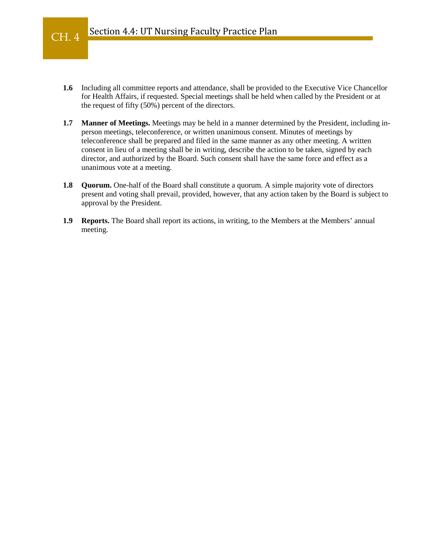- **1.6** Including all committee reports and attendance, shall be provided to the Executive Vice Chancellor for Health Affairs, if requested. Special meetings shall be held when called by the President or at the request of fifty (50%) percent of the directors.
- **1.7 Manner of Meetings.** Meetings may be held in a manner determined by the President, including inperson meetings, teleconference, or written unanimous consent. Minutes of meetings by teleconference shall be prepared and filed in the same manner as any other meeting. A written consent in lieu of a meeting shall be in writing, describe the action to be taken, signed by each director, and authorized by the Board. Such consent shall have the same force and effect as a unanimous vote at a meeting.
- **1.8 Quorum.** One-half of the Board shall constitute a quorum. A simple majority vote of directors present and voting shall prevail, provided, however, that any action taken by the Board is subject to approval by the President.
- **1.9 Reports.** The Board shall report its actions, in writing, to the Members at the Members' annual meeting.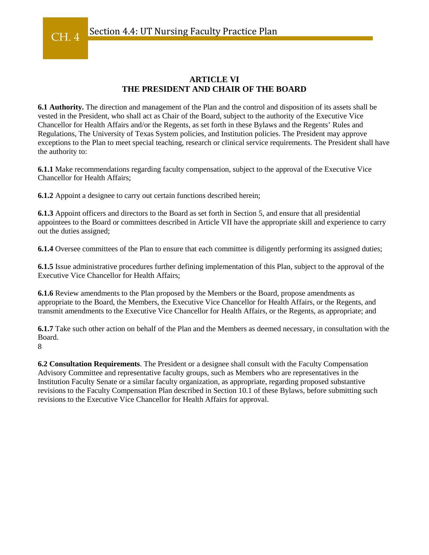## **ARTICLE VI THE PRESIDENT AND CHAIR OF THE BOARD**

**6.1 Authority.** The direction and management of the Plan and the control and disposition of its assets shall be vested in the President, who shall act as Chair of the Board, subject to the authority of the Executive Vice Chancellor for Health Affairs and/or the Regents, as set forth in these Bylaws and the Regents' Rules and Regulations, The University of Texas System policies, and Institution policies. The President may approve exceptions to the Plan to meet special teaching, research or clinical service requirements. The President shall have the authority to:

**6.1.1** Make recommendations regarding faculty compensation, subject to the approval of the Executive Vice Chancellor for Health Affairs;

**6.1.2** Appoint a designee to carry out certain functions described herein;

**6.1.3** Appoint officers and directors to the Board as set forth in Section 5, and ensure that all presidential appointees to the Board or committees described in Article VII have the appropriate skill and experience to carry out the duties assigned;

**6.1.4** Oversee committees of the Plan to ensure that each committee is diligently performing its assigned duties;

**6.1.5** Issue administrative procedures further defining implementation of this Plan, subject to the approval of the Executive Vice Chancellor for Health Affairs;

**6.1.6** Review amendments to the Plan proposed by the Members or the Board, propose amendments as appropriate to the Board, the Members, the Executive Vice Chancellor for Health Affairs, or the Regents, and transmit amendments to the Executive Vice Chancellor for Health Affairs, or the Regents, as appropriate; and

**6.1.7** Take such other action on behalf of the Plan and the Members as deemed necessary, in consultation with the Board.

8

CH. 4

**6.2 Consultation Requirements**. The President or a designee shall consult with the Faculty Compensation Advisory Committee and representative faculty groups, such as Members who are representatives in the Institution Faculty Senate or a similar faculty organization, as appropriate, regarding proposed substantive revisions to the Faculty Compensation Plan described in Section 10.1 of these Bylaws, before submitting such revisions to the Executive Vice Chancellor for Health Affairs for approval.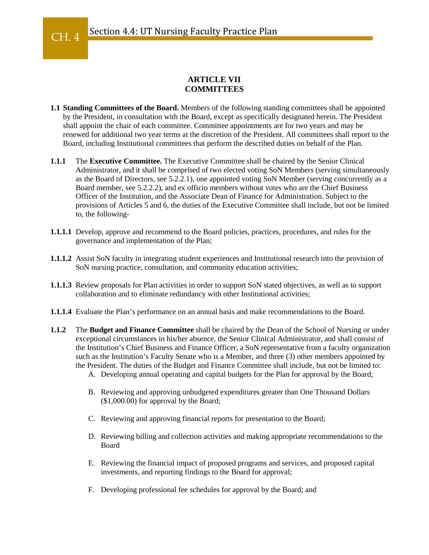#### **ARTICLE VII COMMITTEES**

- **1.1 Standing Committees of the Board.** Members of the following standing committees shall be appointed by the President, in consultation with the Board, except as specifically designated herein. The President shall appoint the chair of each committee. Committee appointments are for two years and may be renewed for additional two year terms at the discretion of the President. All committees shall report to the Board, including Institutional committees that perform the described duties on behalf of the Plan.
- **1.1.1** The **Executive Committee.** The Executive Committee shall be chaired by the Senior Clinical Administrator, and it shall be comprised of two elected voting SoN Members (serving simultaneously as the Board of Directors, see 5.2.2.1), one appointed voting SoN Member (serving concurrently as a Board member, see 5.2.2.2), and ex officio members without votes who are the Chief Business Officer of the Institution, and the Associate Dean of Finance for Administration. Subject to the provisions of Articles 5 and 6, the duties of the Executive Committee shall include, but not be limited to, the following-
- **1.1.1.1** Develop, approve and recommend to the Board policies, practices, procedures, and rules for the governance and implementation of the Plan;
- **1.1.1.2** Assist SoN faculty in integrating student experiences and Institutional research into the provision of SoN nursing practice, consultation, and community education activities;
- **1.1.1.3** Review proposals for Plan activities in order to support SoN stated objectives, as well as to support collaboration and to eliminate redundancy with other Institutional activities;
- **1.1.1.4** Evaluate the Plan's performance on an annual basis and make recommendations to the Board.
- **1.1.2** The **Budget and Finance Committee** shall be chaired by the Dean of the School of Nursing or under exceptional circumstances in his/her absence, the Senior Clinical Administrator, and shall consist of the Institution's Chief Business and Finance Officer, a SoN representative from a faculty organization such as the Institution's Faculty Senate who is a Member, and three (3) other members appointed by the President. The duties of the Budget and Finance Committee shall include, but not be limited to:
	- A. Developing annual operating and capital budgets for the Plan for approval by the Board;
	- B. Reviewing and approving unbudgeted expenditures greater than One Thousand Dollars (\$1,000.00) for approval by the Board;
	- C. Reviewing and approving financial reports for presentation to the Board;
	- D. Reviewing billing and collection activities and making appropriate recommendations to the Board
	- E. Reviewing the financial impact of proposed programs and services, and proposed capital investments, and reporting findings to the Board for approval;
	- F. Developing professional fee schedules for approval by the Board; and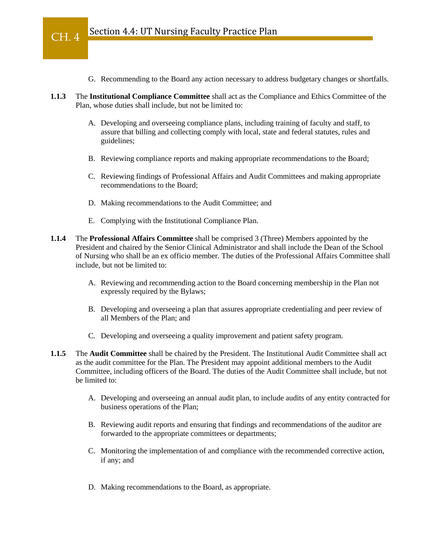- G. Recommending to the Board any action necessary to address budgetary changes or shortfalls.
- **1.1.3** The **Institutional Compliance Committee** shall act as the Compliance and Ethics Committee of the Plan, whose duties shall include, but not be limited to:
	- A. Developing and overseeing compliance plans, including training of faculty and staff, to assure that billing and collecting comply with local, state and federal statutes, rules and guidelines;
	- B. Reviewing compliance reports and making appropriate recommendations to the Board;
	- C. Reviewing findings of Professional Affairs and Audit Committees and making appropriate recommendations to the Board;
	- D. Making recommendations to the Audit Committee; and
	- E. Complying with the Institutional Compliance Plan.
- **1.1.4** The **Professional Affairs Committee** shall be comprised 3 (Three) Members appointed by the President and chaired by the Senior Clinical Administrator and shall include the Dean of the School of Nursing who shall be an ex officio member. The duties of the Professional Affairs Committee shall include, but not be limited to:
	- A. Reviewing and recommending action to the Board concerning membership in the Plan not expressly required by the Bylaws;
	- B. Developing and overseeing a plan that assures appropriate credentialing and peer review of all Members of the Plan; and
	- C. Developing and overseeing a quality improvement and patient safety program.
- **1.1.5** The **Audit Committee** shall be chaired by the President. The Institutional Audit Committee shall act as the audit committee for the Plan. The President may appoint additional members to the Audit Committee, including officers of the Board. The duties of the Audit Committee shall include, but not be limited to:
	- A. Developing and overseeing an annual audit plan, to include audits of any entity contracted for business operations of the Plan;
	- B. Reviewing audit reports and ensuring that findings and recommendations of the auditor are forwarded to the appropriate committees or departments;
	- C. Monitoring the implementation of and compliance with the recommended corrective action, if any; and
	- D. Making recommendations to the Board, as appropriate.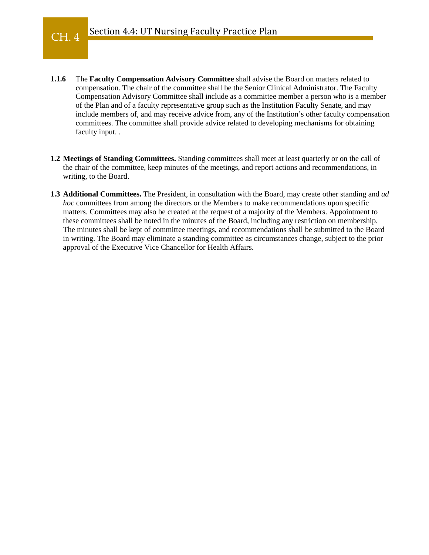- **1.1.6** The **Faculty Compensation Advisory Committee** shall advise the Board on matters related to compensation. The chair of the committee shall be the Senior Clinical Administrator. The Faculty Compensation Advisory Committee shall include as a committee member a person who is a member of the Plan and of a faculty representative group such as the Institution Faculty Senate, and may include members of, and may receive advice from, any of the Institution's other faculty compensation committees. The committee shall provide advice related to developing mechanisms for obtaining faculty input. .
- **1.2 Meetings of Standing Committees.** Standing committees shall meet at least quarterly or on the call of the chair of the committee, keep minutes of the meetings, and report actions and recommendations, in writing, to the Board.
- **1.3 Additional Committees.** The President, in consultation with the Board, may create other standing and *ad hoc* committees from among the directors or the Members to make recommendations upon specific matters. Committees may also be created at the request of a majority of the Members. Appointment to these committees shall be noted in the minutes of the Board, including any restriction on membership. The minutes shall be kept of committee meetings, and recommendations shall be submitted to the Board in writing. The Board may eliminate a standing committee as circumstances change, subject to the prior approval of the Executive Vice Chancellor for Health Affairs.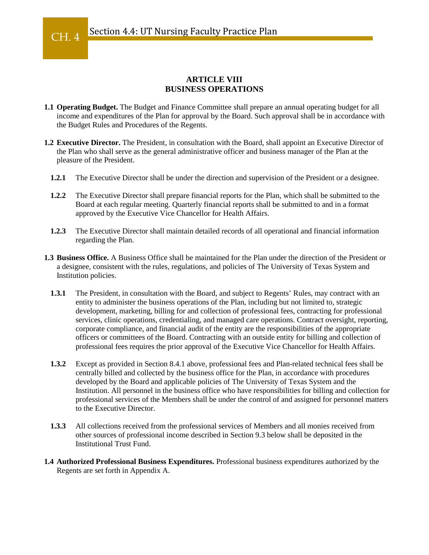#### **ARTICLE VIII BUSINESS OPERATIONS**

- **1.1 Operating Budget.** The Budget and Finance Committee shall prepare an annual operating budget for all income and expenditures of the Plan for approval by the Board. Such approval shall be in accordance with the Budget Rules and Procedures of the Regents.
- **1.2 Executive Director.** The President, in consultation with the Board, shall appoint an Executive Director of the Plan who shall serve as the general administrative officer and business manager of the Plan at the pleasure of the President.
	- **1.2.1** The Executive Director shall be under the direction and supervision of the President or a designee.
	- **1.2.2** The Executive Director shall prepare financial reports for the Plan, which shall be submitted to the Board at each regular meeting. Quarterly financial reports shall be submitted to and in a format approved by the Executive Vice Chancellor for Health Affairs.
	- **1.2.3** The Executive Director shall maintain detailed records of all operational and financial information regarding the Plan.
- **1.3 Business Office.** A Business Office shall be maintained for the Plan under the direction of the President or a designee, consistent with the rules, regulations, and policies of The University of Texas System and Institution policies.
	- **1.3.1** The President, in consultation with the Board, and subject to Regents' Rules, may contract with an entity to administer the business operations of the Plan, including but not limited to, strategic development, marketing, billing for and collection of professional fees, contracting for professional services, clinic operations, credentialing, and managed care operations. Contract oversight, reporting, corporate compliance, and financial audit of the entity are the responsibilities of the appropriate officers or committees of the Board. Contracting with an outside entity for billing and collection of professional fees requires the prior approval of the Executive Vice Chancellor for Health Affairs.
	- **1.3.2** Except as provided in Section 8.4.1 above, professional fees and Plan-related technical fees shall be centrally billed and collected by the business office for the Plan, in accordance with procedures developed by the Board and applicable policies of The University of Texas System and the Institution. All personnel in the business office who have responsibilities for billing and collection for professional services of the Members shall be under the control of and assigned for personnel matters to the Executive Director.
	- **1.3.3** All collections received from the professional services of Members and all monies received from other sources of professional income described in Section 9.3 below shall be deposited in the Institutional Trust Fund.
- **1.4 Authorized Professional Business Expenditures.** Professional business expenditures authorized by the Regents are set forth in Appendix A.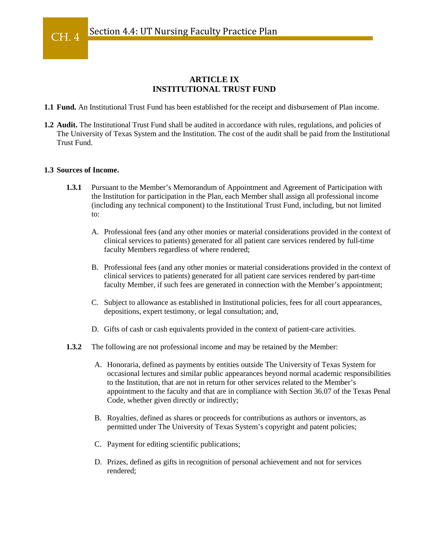#### **ARTICLE IX INSTITUTIONAL TRUST FUND**

**1.1 Fund.** An Institutional Trust Fund has been established for the receipt and disbursement of Plan income.

**1.2 Audit.** The Institutional Trust Fund shall be audited in accordance with rules, regulations, and policies of The University of Texas System and the Institution. The cost of the audit shall be paid from the Institutional Trust Fund.

#### **1.3 Sources of Income.**

- **1.3.1** Pursuant to the Member's Memorandum of Appointment and Agreement of Participation with the Institution for participation in the Plan, each Member shall assign all professional income (including any technical component) to the Institutional Trust Fund, including, but not limited to:
	- A. Professional fees (and any other monies or material considerations provided in the context of clinical services to patients) generated for all patient care services rendered by full-time faculty Members regardless of where rendered;
	- B. Professional fees (and any other monies or material considerations provided in the context of clinical services to patients) generated for all patient care services rendered by part-time faculty Member, if such fees are generated in connection with the Member's appointment;
	- C. Subject to allowance as established in Institutional policies, fees for all court appearances, depositions, expert testimony, or legal consultation; and,
	- D. Gifts of cash or cash equivalents provided in the context of patient-care activities.
- **1.3.2** The following are not professional income and may be retained by the Member:
	- A. Honoraria, defined as payments by entities outside The University of Texas System for occasional lectures and similar public appearances beyond normal academic responsibilities to the Institution, that are not in return for other services related to the Member's appointment to the faculty and that are in compliance with Section 36.07 of the Texas Penal Code, whether given directly or indirectly;
	- B. Royalties, defined as shares or proceeds for contributions as authors or inventors, as permitted under The University of Texas System's copyright and patent policies;
	- C. Payment for editing scientific publications;
	- D. Prizes, defined as gifts in recognition of personal achievement and not for services rendered;

CH. 4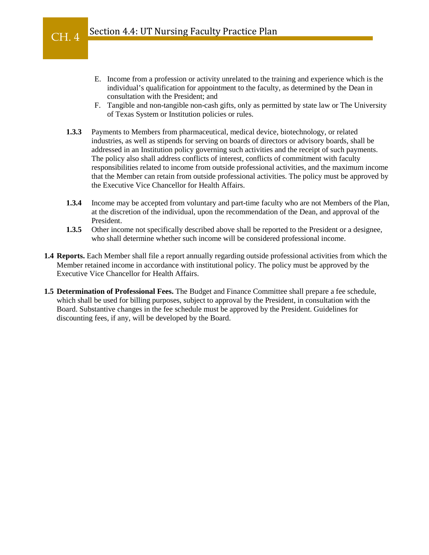- E. Income from a profession or activity unrelated to the training and experience which is the individual's qualification for appointment to the faculty, as determined by the Dean in consultation with the President; and
- F. Tangible and non-tangible non-cash gifts, only as permitted by state law or The University of Texas System or Institution policies or rules.
- **1.3.3** Payments to Members from pharmaceutical, medical device, biotechnology, or related industries, as well as stipends for serving on boards of directors or advisory boards, shall be addressed in an Institution policy governing such activities and the receipt of such payments. The policy also shall address conflicts of interest, conflicts of commitment with faculty responsibilities related to income from outside professional activities, and the maximum income that the Member can retain from outside professional activities. The policy must be approved by the Executive Vice Chancellor for Health Affairs.
- **1.3.4** Income may be accepted from voluntary and part-time faculty who are not Members of the Plan, at the discretion of the individual, upon the recommendation of the Dean, and approval of the President.
- **1.3.5** Other income not specifically described above shall be reported to the President or a designee, who shall determine whether such income will be considered professional income.
- **1.4 Reports.** Each Member shall file a report annually regarding outside professional activities from which the Member retained income in accordance with institutional policy. The policy must be approved by the Executive Vice Chancellor for Health Affairs.
- **1.5 Determination of Professional Fees.** The Budget and Finance Committee shall prepare a fee schedule, which shall be used for billing purposes, subject to approval by the President, in consultation with the Board. Substantive changes in the fee schedule must be approved by the President. Guidelines for discounting fees, if any, will be developed by the Board.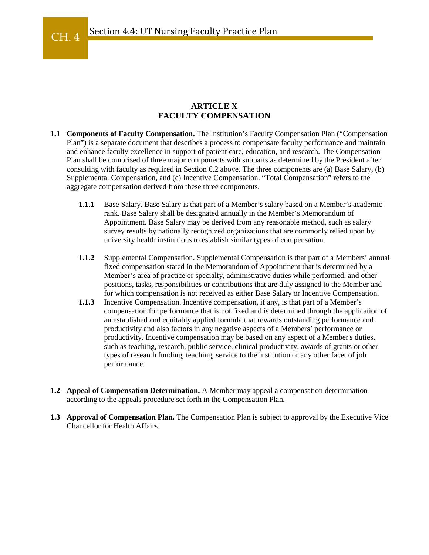#### **ARTICLE X FACULTY COMPENSATION**

- **1.1 Components of Faculty Compensation.** The Institution's Faculty Compensation Plan ("Compensation Plan") is a separate document that describes a process to compensate faculty performance and maintain and enhance faculty excellence in support of patient care, education, and research. The Compensation Plan shall be comprised of three major components with subparts as determined by the President after consulting with faculty as required in Section 6.2 above. The three components are (a) Base Salary, (b) Supplemental Compensation, and (c) Incentive Compensation. "Total Compensation" refers to the aggregate compensation derived from these three components.
	- **1.1.1** Base Salary. Base Salary is that part of a Member's salary based on a Member's academic rank. Base Salary shall be designated annually in the Member's Memorandum of Appointment. Base Salary may be derived from any reasonable method, such as salary survey results by nationally recognized organizations that are commonly relied upon by university health institutions to establish similar types of compensation.
	- **1.1.2** Supplemental Compensation. Supplemental Compensation is that part of a Members' annual fixed compensation stated in the Memorandum of Appointment that is determined by a Member's area of practice or specialty, administrative duties while performed, and other positions, tasks, responsibilities or contributions that are duly assigned to the Member and for which compensation is not received as either Base Salary or Incentive Compensation.
	- **1.1.3** Incentive Compensation. Incentive compensation, if any, is that part of a Member's compensation for performance that is not fixed and is determined through the application of an established and equitably applied formula that rewards outstanding performance and productivity and also factors in any negative aspects of a Members' performance or productivity. Incentive compensation may be based on any aspect of a Member's duties, such as teaching, research, public service, clinical productivity, awards of grants or other types of research funding, teaching, service to the institution or any other facet of job performance.
- **1.2 Appeal of Compensation Determination.** A Member may appeal a compensation determination according to the appeals procedure set forth in the Compensation Plan.
- **1.3 Approval of Compensation Plan.** The Compensation Plan is subject to approval by the Executive Vice Chancellor for Health Affairs.

CH. 4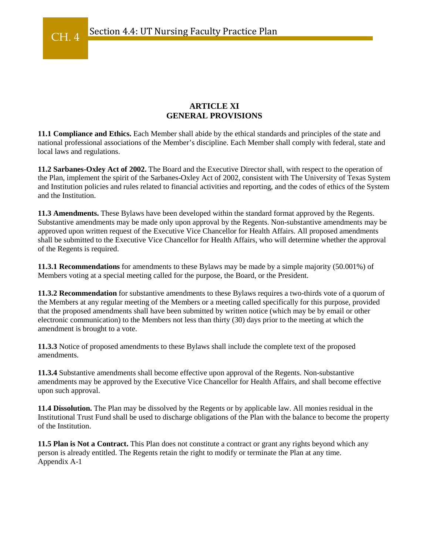#### **ARTICLE XI GENERAL PROVISIONS**

**11.1 Compliance and Ethics.** Each Member shall abide by the ethical standards and principles of the state and national professional associations of the Member's discipline. Each Member shall comply with federal, state and local laws and regulations.

**11.2 Sarbanes-Oxley Act of 2002.** The Board and the Executive Director shall, with respect to the operation of the Plan, implement the spirit of the Sarbanes-Oxley Act of 2002, consistent with The University of Texas System and Institution policies and rules related to financial activities and reporting, and the codes of ethics of the System and the Institution.

**11.3 Amendments.** These Bylaws have been developed within the standard format approved by the Regents. Substantive amendments may be made only upon approval by the Regents. Non-substantive amendments may be approved upon written request of the Executive Vice Chancellor for Health Affairs. All proposed amendments shall be submitted to the Executive Vice Chancellor for Health Affairs, who will determine whether the approval of the Regents is required.

**11.3.1 Recommendations** for amendments to these Bylaws may be made by a simple majority (50.001%) of Members voting at a special meeting called for the purpose, the Board, or the President.

**11.3.2 Recommendation** for substantive amendments to these Bylaws requires a two-thirds vote of a quorum of the Members at any regular meeting of the Members or a meeting called specifically for this purpose, provided that the proposed amendments shall have been submitted by written notice (which may be by email or other electronic communication) to the Members not less than thirty (30) days prior to the meeting at which the amendment is brought to a vote.

**11.3.3** Notice of proposed amendments to these Bylaws shall include the complete text of the proposed amendments.

**11.3.4** Substantive amendments shall become effective upon approval of the Regents. Non-substantive amendments may be approved by the Executive Vice Chancellor for Health Affairs, and shall become effective upon such approval.

**11.4 Dissolution.** The Plan may be dissolved by the Regents or by applicable law. All monies residual in the Institutional Trust Fund shall be used to discharge obligations of the Plan with the balance to become the property of the Institution.

**11.5 Plan is Not a Contract.** This Plan does not constitute a contract or grant any rights beyond which any person is already entitled. The Regents retain the right to modify or terminate the Plan at any time. Appendix A-1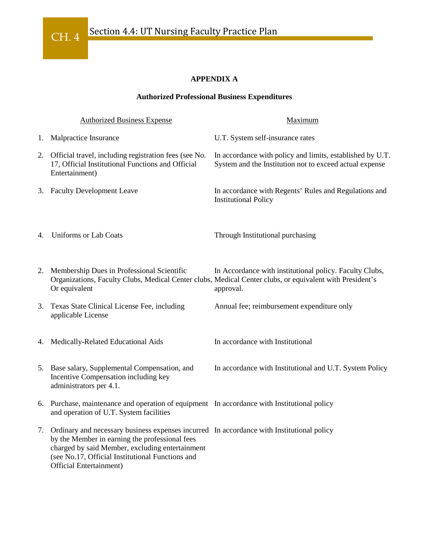

## **APPENDIX A**

#### **Authorized Professional Business Expenditures**

| <b>Authorized Business Expense</b> |                                                                                                                                                                                                                                                                                  | Maximum                                                                                                                                                                          |  |
|------------------------------------|----------------------------------------------------------------------------------------------------------------------------------------------------------------------------------------------------------------------------------------------------------------------------------|----------------------------------------------------------------------------------------------------------------------------------------------------------------------------------|--|
| 1.                                 | Malpractice Insurance                                                                                                                                                                                                                                                            | U.T. System self-insurance rates                                                                                                                                                 |  |
|                                    | 2. Official travel, including registration fees (see No.<br>17, Official Institutional Functions and Official<br>Entertainment)                                                                                                                                                  | In accordance with policy and limits, established by U.T.<br>System and the Institution not to exceed actual expense                                                             |  |
|                                    | 3. Faculty Development Leave                                                                                                                                                                                                                                                     | In accordance with Regents' Rules and Regulations and<br><b>Institutional Policy</b>                                                                                             |  |
| 4.                                 | <b>Uniforms or Lab Coats</b>                                                                                                                                                                                                                                                     | Through Institutional purchasing                                                                                                                                                 |  |
| 2.                                 | Membership Dues in Professional Scientific<br>Or equivalent                                                                                                                                                                                                                      | In Accordance with institutional policy. Faculty Clubs,<br>Organizations, Faculty Clubs, Medical Center clubs, Medical Center clubs, or equivalent with President's<br>approval. |  |
|                                    | 3. Texas State Clinical License Fee, including<br>applicable License                                                                                                                                                                                                             | Annual fee; reimbursement expenditure only                                                                                                                                       |  |
|                                    | 4. Medically-Related Educational Aids                                                                                                                                                                                                                                            | In accordance with Institutional                                                                                                                                                 |  |
|                                    | 5. Base salary, Supplemental Compensation, and<br>Incentive Compensation including key<br>administrators per 4.1.                                                                                                                                                                | In accordance with Institutional and U.T. System Policy                                                                                                                          |  |
|                                    | 6. Purchase, maintenance and operation of equipment In accordance with Institutional policy<br>and operation of U.T. System facilities                                                                                                                                           |                                                                                                                                                                                  |  |
|                                    | 7. Ordinary and necessary business expenses incurred In accordance with Institutional policy<br>by the Member in earning the professional fees<br>charged by said Member, excluding entertainment<br>(see No.17, Official Institutional Functions and<br>Official Entertainment) |                                                                                                                                                                                  |  |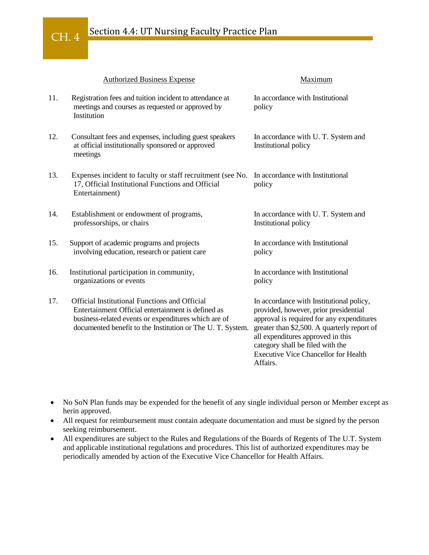## Section 4.4: UT Nursing Faculty Practice Plan

CH. 4

|     | <b>Authorized Business Expense</b>                                                                                                                                                                                              | Maximum                                                                                                                                                                                                                                                                                                           |
|-----|---------------------------------------------------------------------------------------------------------------------------------------------------------------------------------------------------------------------------------|-------------------------------------------------------------------------------------------------------------------------------------------------------------------------------------------------------------------------------------------------------------------------------------------------------------------|
| 11. | Registration fees and tuition incident to attendance at<br>meetings and courses as requested or approved by<br>Institution                                                                                                      | In accordance with Institutional<br>policy                                                                                                                                                                                                                                                                        |
| 12. | Consultant fees and expenses, including guest speakers<br>at official institutionally sponsored or approved<br>meetings                                                                                                         | In accordance with U.T. System and<br>Institutional policy                                                                                                                                                                                                                                                        |
| 13. | Expenses incident to faculty or staff recruitment (see No.<br>17, Official Institutional Functions and Official<br>Entertainment)                                                                                               | In accordance with Institutional<br>policy                                                                                                                                                                                                                                                                        |
| 14. | Establishment or endowment of programs,<br>professorships, or chairs                                                                                                                                                            | In accordance with U.T. System and<br>Institutional policy                                                                                                                                                                                                                                                        |
| 15. | Support of academic programs and projects<br>involving education, research or patient care                                                                                                                                      | In accordance with Institutional<br>policy                                                                                                                                                                                                                                                                        |
| 16. | Institutional participation in community,<br>organizations or events                                                                                                                                                            | In accordance with Institutional<br>policy                                                                                                                                                                                                                                                                        |
| 17. | <b>Official Institutional Functions and Official</b><br>Entertainment Official entertainment is defined as<br>business-related events or expenditures which are of<br>documented benefit to the Institution or The U.T. System. | In accordance with Institutional policy,<br>provided, however, prior presidential<br>approval is required for any expenditures<br>greater than \$2,500. A quarterly report of<br>all expenditures approved in this<br>category shall be filed with the<br><b>Executive Vice Chancellor for Health</b><br>Affairs. |

• No SoN Plan funds may be expended for the benefit of any single individual person or Member except as herin approved.

- All request for reimbursement must contain adequate documentation and must be signed by the person seeking reimbursement.
- All expenditures are subject to the Rules and Regulations of the Boards of Regents of The U.T. System and applicable institutional regulations and procedures. This list of authorized expenditures may be periodically amended by action of the Executive Vice Chancellor for Health Affairs.